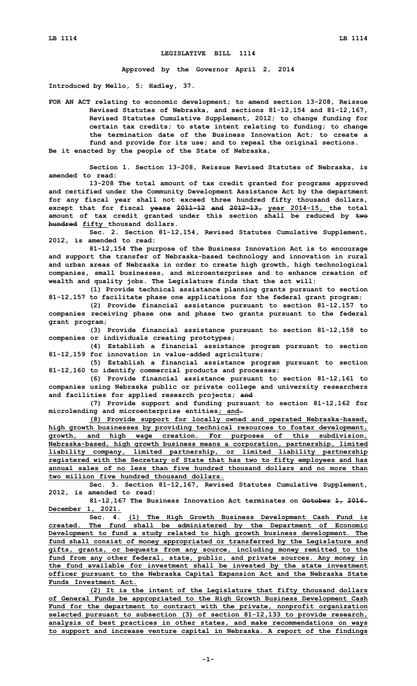## **LEGISLATIVE BILL 1114**

**Approved by the Governor April 2, 2014**

**Introduced by Mello, 5; Hadley, 37.**

**FOR AN ACT relating to economic development; to amend section 13-208, Reissue Revised Statutes of Nebraska, and sections 81-12,154 and 81-12,167, Revised Statutes Cumulative Supplement, 2012; to change funding for certain tax credits; to state intent relating to funding; to change the termination date of the Business Innovation Act; to create <sup>a</sup> fund and provide for its use; and to repeal the original sections. Be it enacted by the people of the State of Nebraska,**

**Section 1. Section 13-208, Reissue Revised Statutes of Nebraska, is amended to read:**

**13-208 The total amount of tax credit granted for programs approved and certified under the Community Development Assistance Act by the department for any fiscal year shall not exceed three hundred fifty thousand dollars, except that for fiscal years 2011-12 and 2012-13, year 2014-15, the total amount of tax credit granted under this section shall be reduced by two hundred fifty thousand dollars.**

**Sec. 2. Section 81-12,154, Revised Statutes Cumulative Supplement, 2012, is amended to read:**

**81-12,154 The purpose of the Business Innovation Act is to encourage and support the transfer of Nebraska-based technology and innovation in rural and urban areas of Nebraska in order to create high growth, high technological companies, small businesses, and microenterprises and to enhance creation of wealth and quality jobs. The Legislature finds that the act will:**

**(1) Provide technical assistance planning grants pursuant to section 81-12,157 to facilitate phase one applications for the federal grant program;**

**(2) Provide financial assistance pursuant to section 81-12,157 to companies receiving phase one and phase two grants pursuant to the federal grant program;**

**(3) Provide financial assistance pursuant to section 81-12,158 to companies or individuals creating prototypes;**

**(4) Establish <sup>a</sup> financial assistance program pursuant to section 81-12,159 for innovation in value-added agriculture;**

**(5) Establish <sup>a</sup> financial assistance program pursuant to section 81-12,160 to identify commercial products and processes;**

**(6) Provide financial assistance pursuant to section 81-12,161 to companies using Nebraska public or private college and university researchers and facilities for applied research projects; and**

**(7) Provide support and funding pursuant to section 81-12,162 for microlending and microenterprise entities; and.**

**(8) Provide support for locally owned and operated Nebraska-based, high growth businesses by providing technical resources to foster development, growth, and high wage creation. For purposes of this subdivision, Nebraska-based, high growth business means <sup>a</sup> corporation, partnership, limited liability company, limited partnership, or limited liability partnership registered with the Secretary of State that has two to fifty employees and has annual sales of no less than five hundred thousand dollars and no more than two million five hundred thousand dollars.**

**Sec. 3. Section 81-12,167, Revised Statutes Cumulative Supplement, 2012, is amended to read:**

**81-12,167 The Business Innovation Act terminates on October 1, 2016. December 1, 2021.**

**Sec. 4. (1) The High Growth Business Development Cash Fund is created. The fund shall be administered by the Department of Economic Development to fund <sup>a</sup> study related to high growth business development. The fund shall consist of money appropriated or transferred by the Legislature and gifts, grants, or bequests from any source, including money remitted to the fund from any other federal, state, public, and private sources. Any money in the fund available for investment shall be invested by the state investment officer pursuant to the Nebraska Capital Expansion Act and the Nebraska State Funds Investment Act.**

**(2) It is the intent of the Legislature that fifty thousand dollars of General Funds be appropriated to the High Growth Business Development Cash Fund for the department to contract with the private, nonprofit organization selected pursuant to subsection (3) of section 81-12,133 to provide research, analysis of best practices in other states, and make recommendations on ways to support and increase venture capital in Nebraska. A report of the findings**